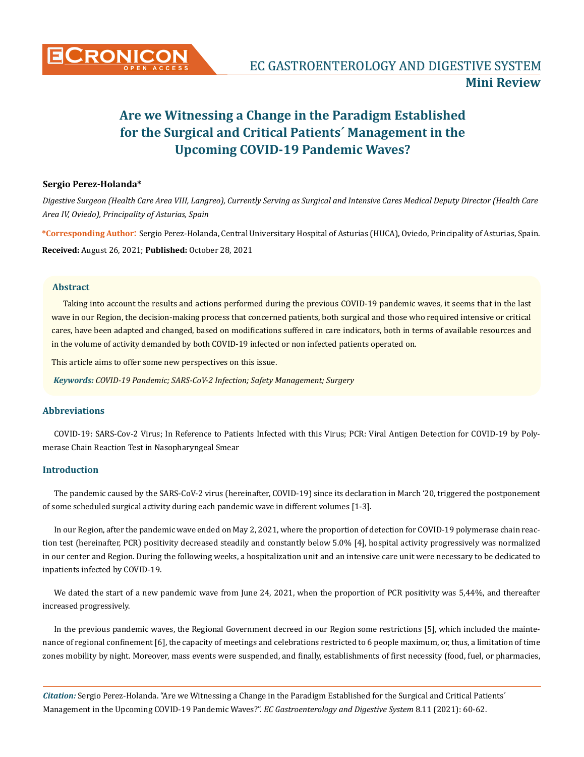

# **Are we Witnessing a Change in the Paradigm Established for the Surgical and Critical Patients´ Management in the Upcoming COVID-19 Pandemic Waves?**

### **Sergio Perez-Holanda\***

*Digestive Surgeon (Health Care Area VIII, Langreo), Currently Serving as Surgical and Intensive Cares Medical Deputy Director (Health Care Area IV, Oviedo), Principality of Asturias, Spain*

**\*Corresponding Author**: Sergio Perez-Holanda, Central Universitary Hospital of Asturias (HUCA), Oviedo, Principality of Asturias, Spain. **Received:** August 26, 2021; **Published:** October 28, 2021

#### **Abstract**

Taking into account the results and actions performed during the previous COVID-19 pandemic waves, it seems that in the last wave in our Region, the decision-making process that concerned patients, both surgical and those who required intensive or critical cares, have been adapted and changed, based on modifications suffered in care indicators, both in terms of available resources and in the volume of activity demanded by both COVID-19 infected or non infected patients operated on.

This article aims to offer some new perspectives on this issue.

*Keywords: COVID-19 Pandemic; SARS-CoV-2 Infection; Safety Management; Surgery*

#### **Abbreviations**

COVID-19: SARS-Cov-2 Virus; In Reference to Patients Infected with this Virus; PCR: Viral Antigen Detection for COVID-19 by Polymerase Chain Reaction Test in Nasopharyngeal Smear

#### **Introduction**

The pandemic caused by the SARS-CoV-2 virus (hereinafter, COVID-19) since its declaration in March '20, triggered the postponement of some scheduled surgical activity during each pandemic wave in different volumes [1-3].

In our Region, after the pandemic wave ended on May 2, 2021, where the proportion of detection for COVID-19 polymerase chain reaction test (hereinafter, PCR) positivity decreased steadily and constantly below 5.0% [4], hospital activity progressively was normalized in our center and Region. During the following weeks, a hospitalization unit and an intensive care unit were necessary to be dedicated to inpatients infected by COVID-19.

We dated the start of a new pandemic wave from June 24, 2021, when the proportion of PCR positivity was 5,44%, and thereafter increased progressively.

In the previous pandemic waves, the Regional Government decreed in our Region some restrictions [5], which included the maintenance of regional confinement [6], the capacity of meetings and celebrations restricted to 6 people maximum, or, thus, a limitation of time zones mobility by night. Moreover, mass events were suspended, and finally, establishments of first necessity (food, fuel, or pharmacies,

*Citation:* Sergio Perez-Holanda. "Are we Witnessing a Change in the Paradigm Established for the Surgical and Critical Patients´ Management in the Upcoming COVID-19 Pandemic Waves?". *EC Gastroenterology and Digestive System* 8.11 (2021): 60-62.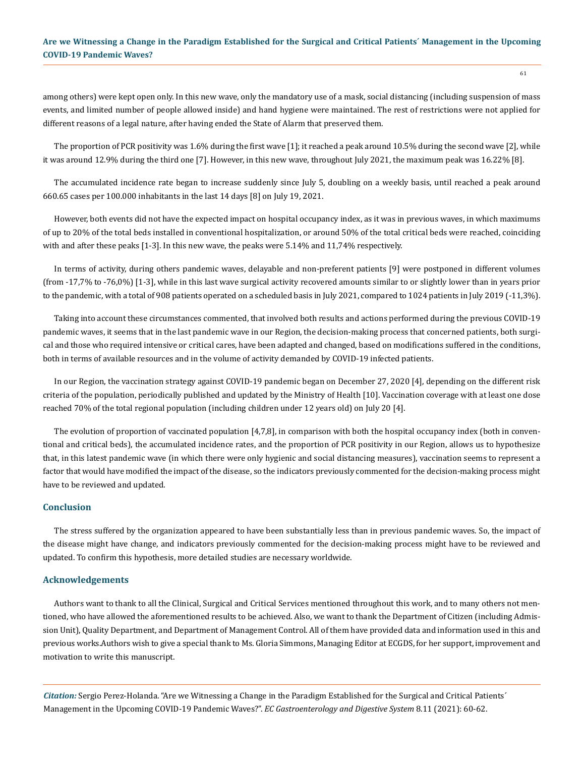## **Are we Witnessing a Change in the Paradigm Established for the Surgical and Critical Patients´ Management in the Upcoming COVID-19 Pandemic Waves?**

among others) were kept open only. In this new wave, only the mandatory use of a mask, social distancing (including suspension of mass events, and limited number of people allowed inside) and hand hygiene were maintained. The rest of restrictions were not applied for different reasons of a legal nature, after having ended the State of Alarm that preserved them.

The proportion of PCR positivity was 1.6% during the first wave [1]; it reached a peak around 10.5% during the second wave [2], while it was around 12.9% during the third one [7]. However, in this new wave, throughout July 2021, the maximum peak was 16.22% [8].

The accumulated incidence rate began to increase suddenly since July 5, doubling on a weekly basis, until reached a peak around 660.65 cases per 100.000 inhabitants in the last 14 days [8] on July 19, 2021.

However, both events did not have the expected impact on hospital occupancy index, as it was in previous waves, in which maximums of up to 20% of the total beds installed in conventional hospitalization, or around 50% of the total critical beds were reached, coinciding with and after these peaks [1-3]. In this new wave, the peaks were 5.14% and 11,74% respectively.

In terms of activity, during others pandemic waves, delayable and non-preferent patients [9] were postponed in different volumes (from -17,7% to -76,0%) [1-3], while in this last wave surgical activity recovered amounts similar to or slightly lower than in years prior to the pandemic, with a total of 908 patients operated on a scheduled basis in July 2021, compared to 1024 patients in July 2019 (-11,3%).

Taking into account these circumstances commented, that involved both results and actions performed during the previous COVID-19 pandemic waves, it seems that in the last pandemic wave in our Region, the decision-making process that concerned patients, both surgical and those who required intensive or critical cares, have been adapted and changed, based on modifications suffered in the conditions, both in terms of available resources and in the volume of activity demanded by COVID-19 infected patients.

In our Region, the vaccination strategy against COVID-19 pandemic began on December 27, 2020 [4], depending on the different risk criteria of the population, periodically published and updated by the Ministry of Health [10]. Vaccination coverage with at least one dose reached 70% of the total regional population (including children under 12 years old) on July 20 [4].

The evolution of proportion of vaccinated population [4,7,8], in comparison with both the hospital occupancy index (both in conventional and critical beds), the accumulated incidence rates, and the proportion of PCR positivity in our Region, allows us to hypothesize that, in this latest pandemic wave (in which there were only hygienic and social distancing measures), vaccination seems to represent a factor that would have modified the impact of the disease, so the indicators previously commented for the decision-making process might have to be reviewed and updated.

#### **Conclusion**

The stress suffered by the organization appeared to have been substantially less than in previous pandemic waves. So, the impact of the disease might have change, and indicators previously commented for the decision-making process might have to be reviewed and updated. To confirm this hypothesis, more detailed studies are necessary worldwide.

#### **Acknowledgements**

Authors want to thank to all the Clinical, Surgical and Critical Services mentioned throughout this work, and to many others not mentioned, who have allowed the aforementioned results to be achieved. Also, we want to thank the Department of Citizen (including Admission Unit), Quality Department, and Department of Management Control. All of them have provided data and information used in this and previous works.Authors wish to give a special thank to Ms. Gloria Simmons, Managing Editor at ECGDS, for her support, improvement and motivation to write this manuscript.

*Citation:* Sergio Perez-Holanda. "Are we Witnessing a Change in the Paradigm Established for the Surgical and Critical Patients´ Management in the Upcoming COVID-19 Pandemic Waves?". *EC Gastroenterology and Digestive System* 8.11 (2021): 60-62.

61